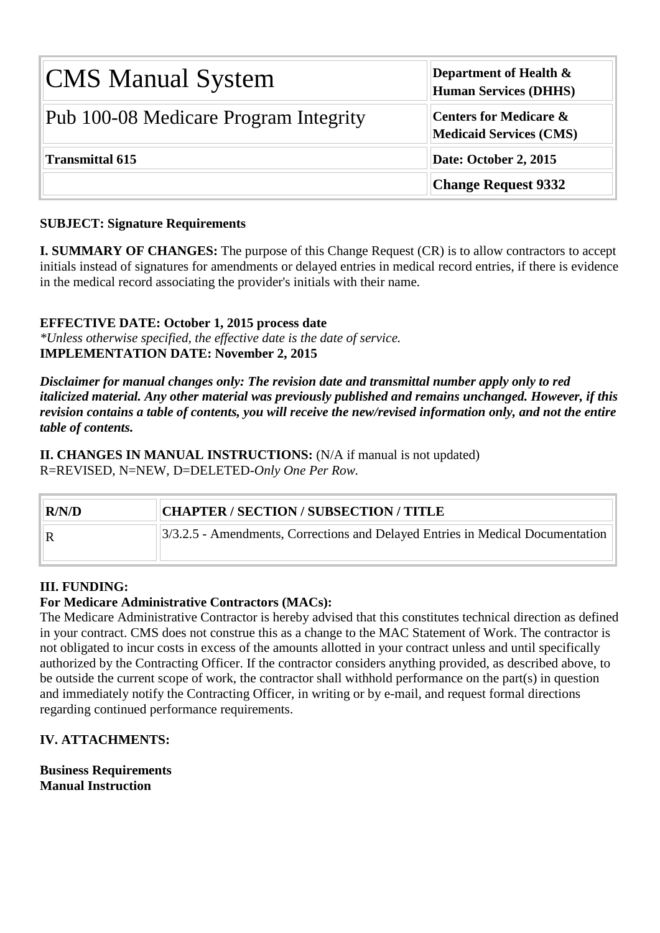| <b>CMS Manual System</b>              | <b>Department of Health <math>\&amp;</math></b><br><b>Human Services (DHHS)</b> |  |  |  |  |
|---------------------------------------|---------------------------------------------------------------------------------|--|--|--|--|
| Pub 100-08 Medicare Program Integrity | Centers for Medicare &<br><b>Medicaid Services (CMS)</b>                        |  |  |  |  |
| <b>Transmittal 615</b>                | Date: October 2, 2015                                                           |  |  |  |  |
|                                       | <b>Change Request 9332</b>                                                      |  |  |  |  |

#### **SUBJECT: Signature Requirements**

**I. SUMMARY OF CHANGES:** The purpose of this Change Request (CR) is to allow contractors to accept initials instead of signatures for amendments or delayed entries in medical record entries, if there is evidence in the medical record associating the provider's initials with their name.

#### **EFFECTIVE DATE: October 1, 2015 process date**

*\*Unless otherwise specified, the effective date is the date of service.* **IMPLEMENTATION DATE: November 2, 2015**

*Disclaimer for manual changes only: The revision date and transmittal number apply only to red italicized material. Any other material was previously published and remains unchanged. However, if this revision contains a table of contents, you will receive the new/revised information only, and not the entire table of contents.*

**II. CHANGES IN MANUAL INSTRUCTIONS:** (N/A if manual is not updated) R=REVISED, N=NEW, D=DELETED-*Only One Per Row.*

# **R/N/D CHAPTER / SECTION / SUBSECTION / TITLE** R 3/3.2.5 - [Amendments, Corrections and Delayed Entries in Medical Documentation](#page-3-0)

#### **III. FUNDING:**

#### **For Medicare Administrative Contractors (MACs):**

The Medicare Administrative Contractor is hereby advised that this constitutes technical direction as defined in your contract. CMS does not construe this as a change to the MAC Statement of Work. The contractor is not obligated to incur costs in excess of the amounts allotted in your contract unless and until specifically authorized by the Contracting Officer. If the contractor considers anything provided, as described above, to be outside the current scope of work, the contractor shall withhold performance on the part(s) in question and immediately notify the Contracting Officer, in writing or by e-mail, and request formal directions regarding continued performance requirements.

#### **IV. ATTACHMENTS:**

**Business Requirements Manual Instruction**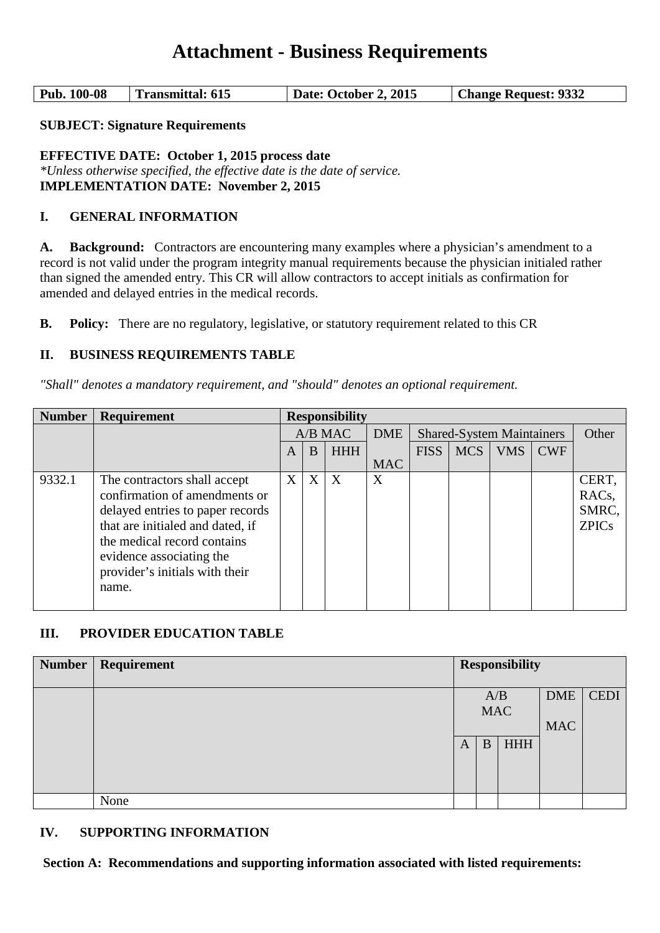## **Attachment - Business Requirements**

| Pub. 100-08 | Transmittal: 615 | Date: October 2, 2015 | <b>Change Request: 9332</b> |
|-------------|------------------|-----------------------|-----------------------------|
|-------------|------------------|-----------------------|-----------------------------|

**SUBJECT: Signature Requirements**

**EFFECTIVE DATE: October 1, 2015 process date** *\*Unless otherwise specified, the effective date is the date of service.* **IMPLEMENTATION DATE: November 2, 2015**

#### **I. GENERAL INFORMATION**

**A. Background:** Contractors are encountering many examples where a physician's amendment to a record is not valid under the program integrity manual requirements because the physician initialed rather than signed the amended entry. This CR will allow contractors to accept initials as confirmation for amended and delayed entries in the medical records.

**B. Policy:** There are no regulatory, legislative, or statutory requirement related to this CR

#### **II. BUSINESS REQUIREMENTS TABLE**

*"Shall" denotes a mandatory requirement, and "should" denotes an optional requirement.*

| <b>Number</b> | <b>Requirement</b>                                                   | <b>Responsibility</b> |   |            |                                  |             |            |            |            |                           |
|---------------|----------------------------------------------------------------------|-----------------------|---|------------|----------------------------------|-------------|------------|------------|------------|---------------------------|
|               |                                                                      | $A/B$ MAC             |   | <b>DME</b> | <b>Shared-System Maintainers</b> |             |            | Other      |            |                           |
|               |                                                                      | A                     | B | <b>HHH</b> |                                  | <b>FISS</b> | <b>MCS</b> | <b>VMS</b> | <b>CWF</b> |                           |
|               |                                                                      |                       |   |            | <b>MAC</b>                       |             |            |            |            |                           |
| 9332.1        | The contractors shall accept<br>confirmation of amendments or        | X                     | X | X          | X                                |             |            |            |            | CERT,<br>RAC <sub>s</sub> |
|               | delayed entries to paper records<br>that are initialed and dated, if |                       |   |            |                                  |             |            |            |            | SMRC,<br><b>ZPICs</b>     |
|               | the medical record contains<br>evidence associating the              |                       |   |            |                                  |             |            |            |            |                           |
|               | provider's initials with their<br>name.                              |                       |   |            |                                  |             |            |            |            |                           |

#### **III. PROVIDER EDUCATION TABLE**

| <b>Number</b> | Requirement | <b>Responsibility</b> |            |            |            |             |
|---------------|-------------|-----------------------|------------|------------|------------|-------------|
|               |             |                       |            |            |            |             |
|               |             |                       | A/B        |            | <b>DME</b> | <b>CEDI</b> |
|               |             |                       | <b>MAC</b> |            |            |             |
|               |             |                       |            |            | <b>MAC</b> |             |
|               |             | A                     | B          | <b>HHH</b> |            |             |
|               |             |                       |            |            |            |             |
|               |             |                       |            |            |            |             |
|               |             |                       |            |            |            |             |
|               | None        |                       |            |            |            |             |

#### **IV. SUPPORTING INFORMATION**

**Section A: Recommendations and supporting information associated with listed requirements:**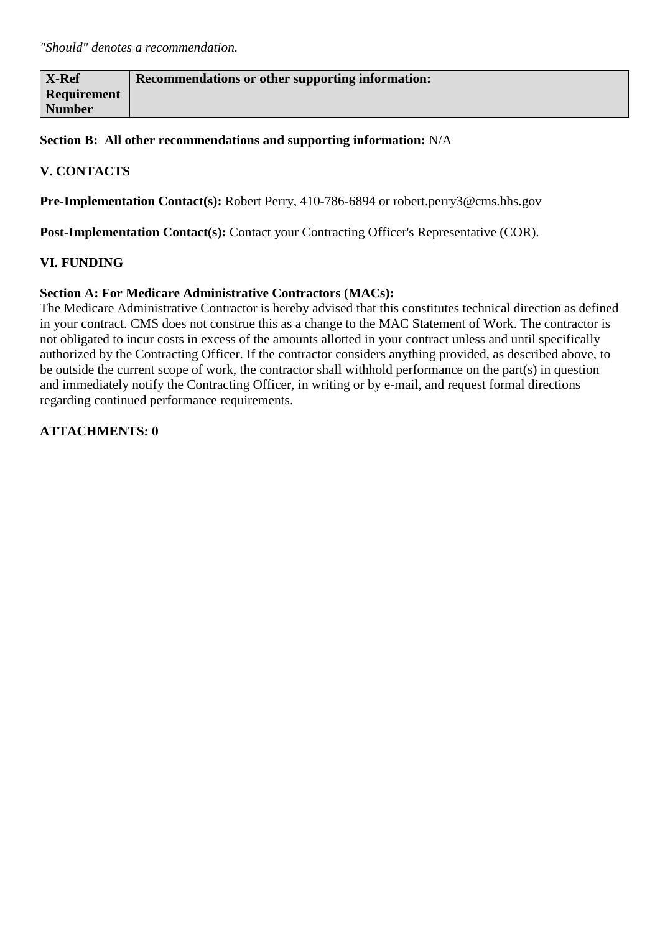| X-Ref         | Recommendations or other supporting information: |
|---------------|--------------------------------------------------|
| Requirement   |                                                  |
| <b>Number</b> |                                                  |

**Section B: All other recommendations and supporting information:** N/A

#### **V. CONTACTS**

**Pre-Implementation Contact(s):** Robert Perry, 410-786-6894 or robert.perry3@cms.hhs.gov

Post-Implementation Contact(s): Contact your Contracting Officer's Representative (COR).

#### **VI. FUNDING**

#### **Section A: For Medicare Administrative Contractors (MACs):**

The Medicare Administrative Contractor is hereby advised that this constitutes technical direction as defined in your contract. CMS does not construe this as a change to the MAC Statement of Work. The contractor is not obligated to incur costs in excess of the amounts allotted in your contract unless and until specifically authorized by the Contracting Officer. If the contractor considers anything provided, as described above, to be outside the current scope of work, the contractor shall withhold performance on the part(s) in question and immediately notify the Contracting Officer, in writing or by e-mail, and request formal directions regarding continued performance requirements.

**ATTACHMENTS: 0**